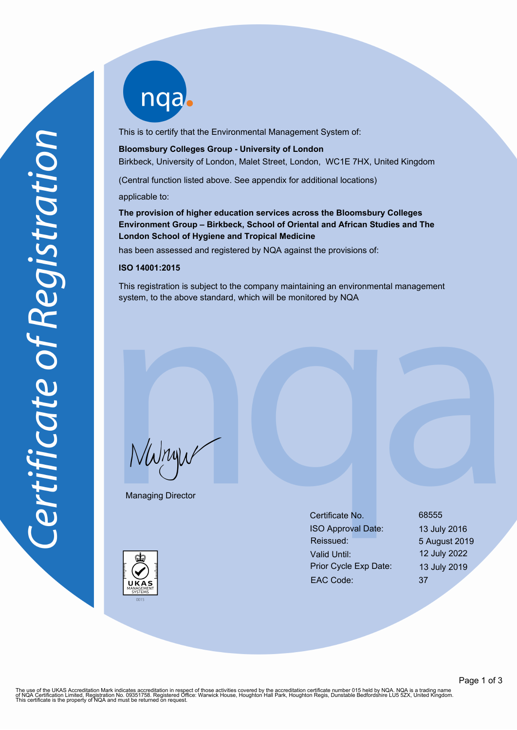nqab

This is to certify that the Environmental Management System of:

**Bloomsbury Colleges Group - University of London** Birkbeck, University of London, Malet Street, London, WC1E 7HX, United Kingdom

(Central function listed above. See appendix for additional locations)

applicable to:

**The provision of higher education services across the Bloomsbury Colleges Environment Group – Birkbeck, School of Oriental and African Studies and The London School of Hygiene and Tropical Medicine**

has been assessed and registered by NQA against the provisions of:

#### **ISO 14001:2015**

This registration is subject to the company maintaining an environmental management system, to the above standard, which will be monitored by NQA

NWnyw

Managing Director

Certificate No. 68555 ISO Approval Date: 13 July 2016 Reissued: 5 August 2019 Valid Until: 12 July 2022 Prior Cycle Exp Date: 13 July 2019 EAC Code: 37



The use of the UKAS Accreditation Mark indicates accreditation in respect of those activities covered by the accreditation certificate number 015 held by NQA. NQA is a trading name<br>of NQA Certification Limited, Registratio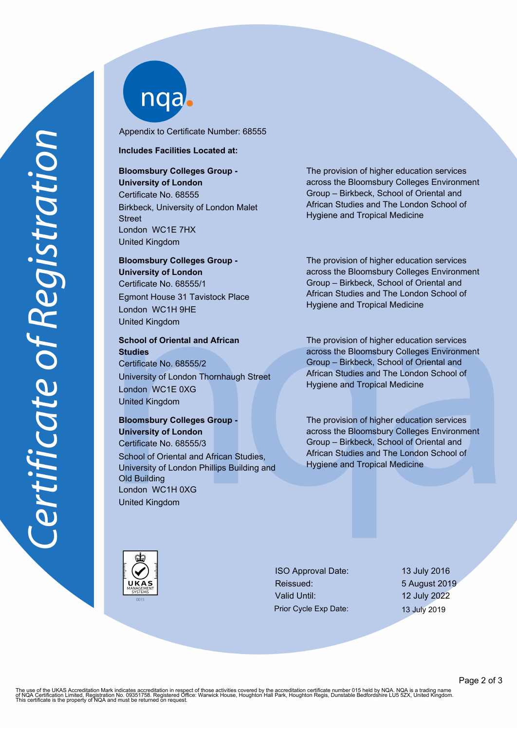nqab

Appendix to Certificate Number: 68555

### **Includes Facilities Located at:**

## **Bloomsbury Colleges Group - University of London**

Certificate No. 68555 Birkbeck, University of London Malet **Street** London WC1E 7HX United Kingdom

# **Bloomsbury Colleges Group - University of London** Certificate No. 68555/1 Egmont House 31 Tavistock Place London WC1H 9HE United Kingdom

**School of Oriental and African Studies** Certificate No. 68555/2

University of London Thornhaugh Street London WC1E 0XG United Kingdom

# **Bloomsbury Colleges Group - University of London** Certificate No. 68555/3 School of Oriental and African Studies, University of London Phillips Building and

Old Building London WC1H 0XG United Kingdom

The provision of higher education services across the Bloomsbury Colleges Environment Group – Birkbeck, School of Oriental and African Studies and The London School of Hygiene and Tropical Medicine

The provision of higher education services across the Bloomsbury Colleges Environment Group – Birkbeck, School of Oriental and African Studies and The London School of Hygiene and Tropical Medicine

The provision of higher education services across the Bloomsbury Colleges Environment Group – Birkbeck, School of Oriental and African Studies and The London School of Hygiene and Tropical Medicine

The provision of higher education services across the Bloomsbury Colleges Environment Group – Birkbeck, School of Oriental and African Studies and The London School of Hygiene and Tropical Medicine

ISO Approval Date: 13 July 2016 Reissued: 5 August 2019 Valid Until: 12 July 2022 Prior Cycle Exp Date: 13 July 2019